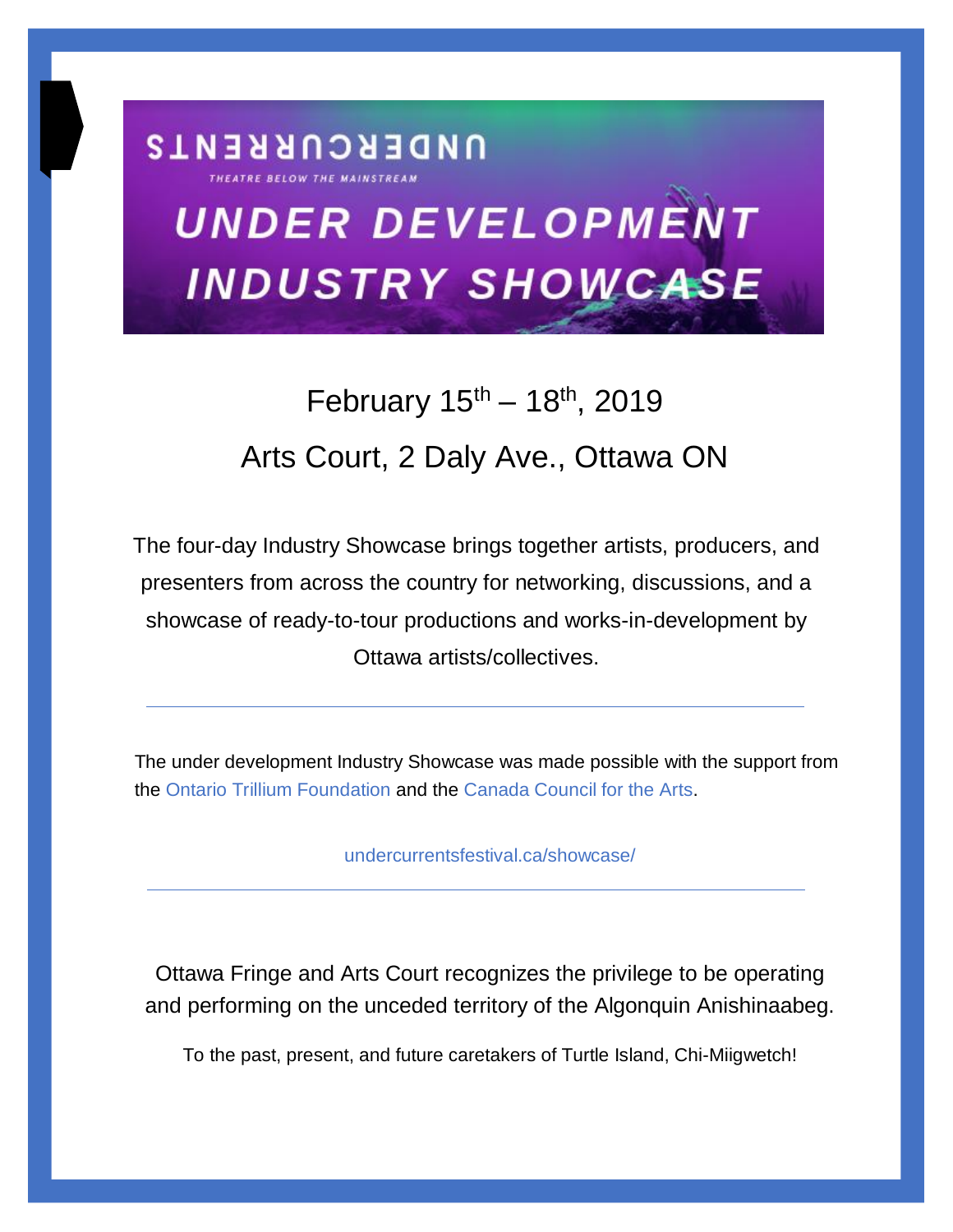# **UNDER DEVELOPMENT INDUSTRY SHOWCASE**

**UNDERCURRENTS** 

# February  $15^{th} - 18^{th}$ , 2019 Arts Court, 2 Daly Ave., Ottawa ON

The four-day Industry Showcase brings together artists, producers, and presenters from across the country for networking, discussions, and a showcase of ready-to-tour productions and works-in-development by Ottawa artists/collectives.

The under development Industry Showcase was made possible with the support from the [Ontario Trillium Foundation](https://otf.ca/) and the [Canada Council for the Arts.](https://apply.canadacouncil.ca/)

[undercurrentsfestival.ca/showcase/](http://undercurrentsfestival.ca/showcase/)

Ottawa Fringe and Arts Court recognizes the privilege to be operating and performing on the unceded territory of the Algonquin Anishinaabeg.

To the past, present, and future caretakers of Turtle Island, Chi-Miigwetch!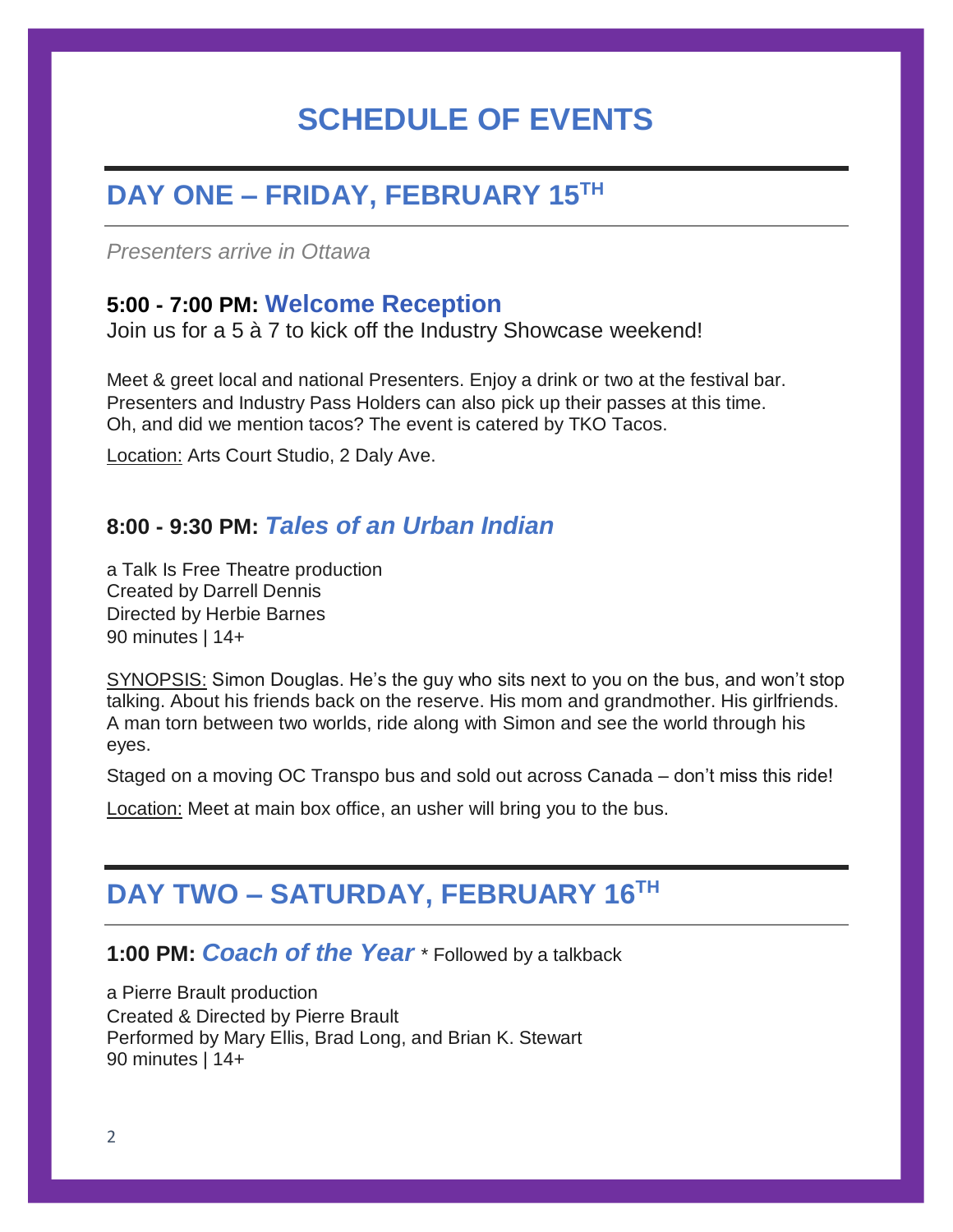# **SCHEDULE OF EVENTS**

# **DAY ONE – FRIDAY, FEBRUARY 15TH**

*Presenters arrive in Ottawa* 

#### **5:00 - 7:00 PM: Welcome Reception**

Join us for a 5 à 7 to kick off the Industry Showcase weekend!

Meet & greet local and national Presenters. Enjoy a drink or two at the festival bar. Presenters and Industry Pass Holders can also pick up their passes at this time. Oh, and did we mention tacos? The event is catered by TKO Tacos.

Location: Arts Court Studio, 2 Daly Ave.

#### **8:00 - 9:30 PM:** *[Tales of an Urban Indian](http://undercurrentsfestival.ca/shows/tales-urban-indian/)*

a Talk Is Free Theatre production Created by Darrell Dennis Directed by Herbie Barnes 90 minutes | 14+

SYNOPSIS: Simon Douglas. He's the guy who sits next to you on the bus, and won't stop talking. About his friends back on the reserve. His mom and grandmother. His girlfriends. A man torn between two worlds, ride along with Simon and see the world through his eyes.

Staged on a moving OC Transpo bus and sold out across Canada – don't miss this ride!

**Location:** Meet at main box office, an usher will bring you to the bus.

## **DAY TWO – SATURDAY, FEBRUARY 16 TH**

#### **1:00 PM:** *[Coach of the Year](http://undercurrentsfestival.ca/shows/coach-of-the-year/)* \* Followed by a talkback

a Pierre Brault production Created & Directed by Pierre Brault Performed by Mary Ellis, Brad Long, and Brian K. Stewart 90 minutes | 14+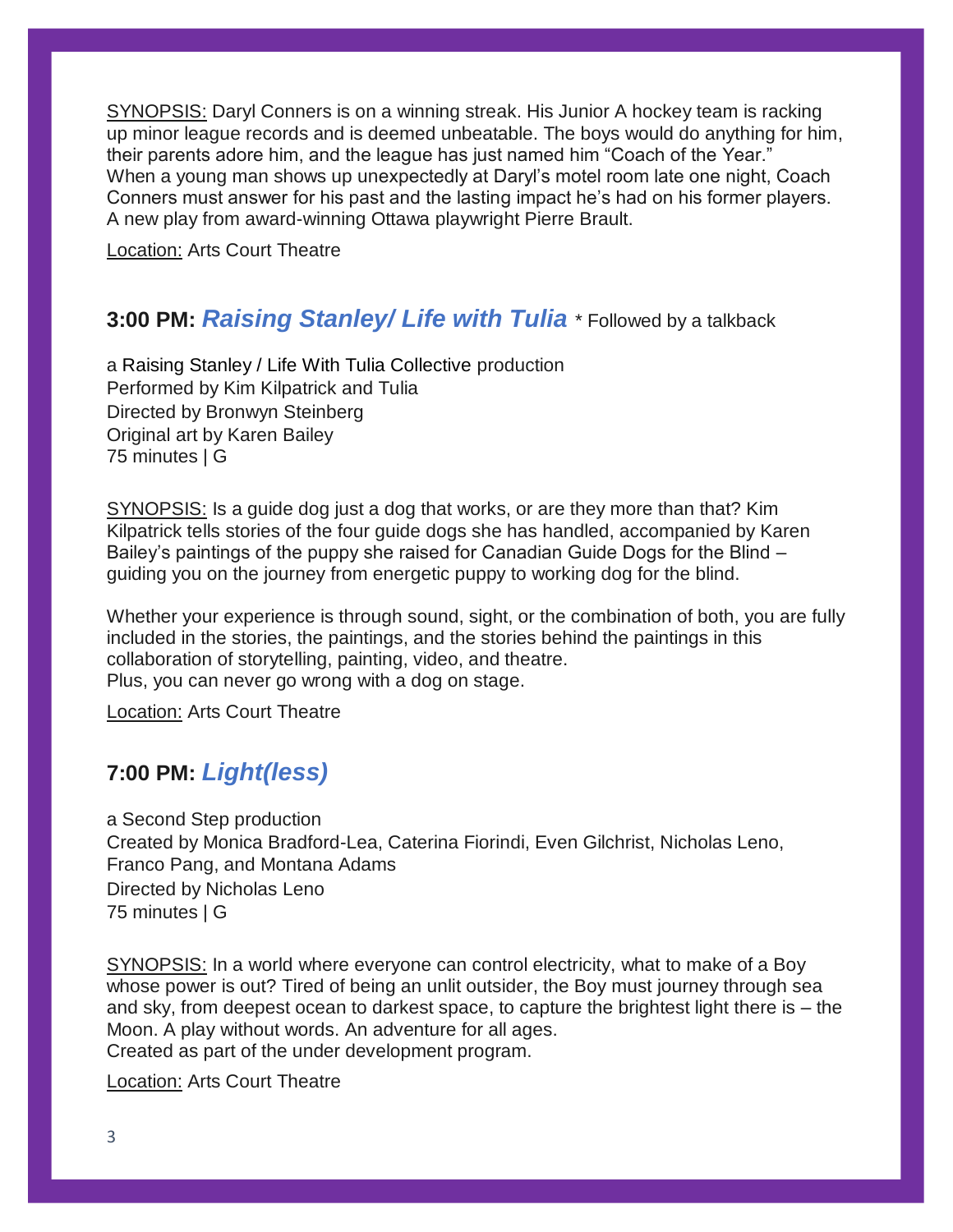SYNOPSIS: Daryl Conners is on a winning streak. His Junior A hockey team is racking up minor league records and is deemed unbeatable. The boys would do anything for him, their parents adore him, and the league has just named him "Coach of the Year." When a young man shows up unexpectedly at Daryl's motel room late one night, Coach Conners must answer for his past and the lasting impact he's had on his former players. A new play from award-winning Ottawa playwright Pierre Brault.

Location: Arts Court Theatre

#### **3:00 PM:** *[Raising Stanley/ Life with Tulia](http://undercurrentsfestival.ca/shows/raising-stanley-life-tulia/)* \* Followed by a talkback

a [Raising Stanley / Life With Tulia Collective](http://raisingstanley.com/) production Performed by Kim Kilpatrick and Tulia Directed by Bronwyn Steinberg Original art by Karen Bailey 75 minutes | G

SYNOPSIS: Is a guide dog just a dog that works, or are they more than that? Kim Kilpatrick tells stories of the four guide dogs she has handled, accompanied by Karen Bailey's paintings of the puppy she raised for Canadian Guide Dogs for the Blind – guiding you on the journey from energetic puppy to working dog for the blind.

Whether your experience is through sound, sight, or the combination of both, you are fully included in the stories, the paintings, and the stories behind the paintings in this collaboration of storytelling, painting, video, and theatre. Plus, you can never go wrong with a dog on stage.

Location: Arts Court Theatre

#### **7:00 PM:** *[Light\(less\)](http://undercurrentsfestival.ca/shows/lightless/)*

a Second Step production Created by Monica Bradford-Lea, Caterina Fiorindi, Even Gilchrist, Nicholas Leno, Franco Pang, and Montana Adams Directed by Nicholas Leno 75 minutes | G

SYNOPSIS: In a world where everyone can control electricity, what to make of a Boy whose power is out? Tired of being an unlit outsider, the Boy must journey through sea and sky, from deepest ocean to darkest space, to capture the brightest light there is – the Moon. A play without words. An adventure for all ages. Created as part of the under development program.

Location: Arts Court Theatre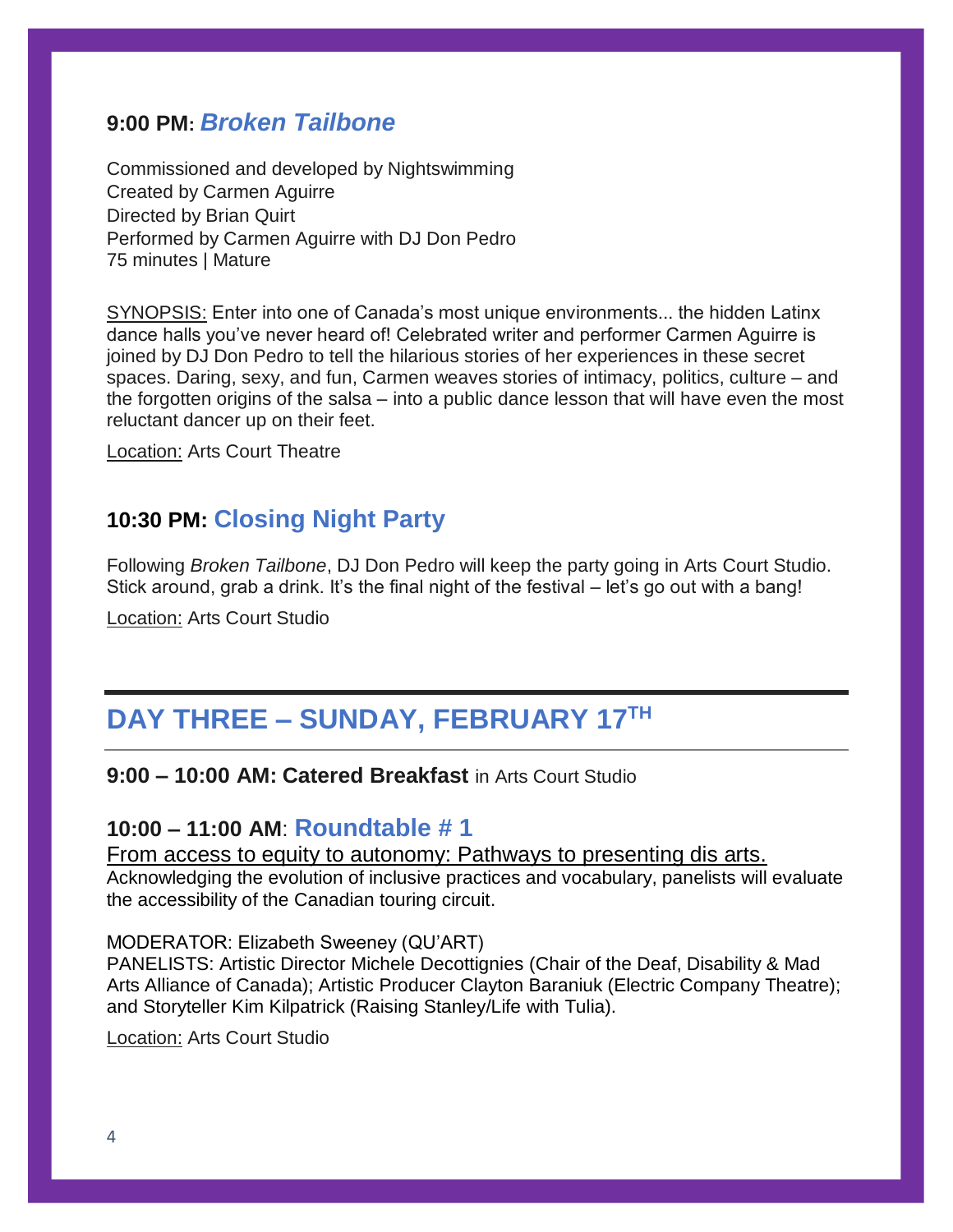#### **9:00 PM:** *[Broken Tailbone](http://undercurrentsfestival.ca/shows/broken-tailbone/)*

Commissioned and developed by Nightswimming Created by Carmen Aguirre Directed by Brian Quirt Performed by Carmen Aguirre with DJ Don Pedro 75 minutes | Mature

SYNOPSIS: Enter into one of Canada's most unique environments... the hidden Latinx dance halls you've never heard of! Celebrated writer and performer Carmen Aguirre is joined by DJ Don Pedro to tell the hilarious stories of her experiences in these secret spaces. Daring, sexy, and fun, Carmen weaves stories of intimacy, politics, culture – and the forgotten origins of the salsa – into a public dance lesson that will have even the most reluctant dancer up on their feet.

Location: Arts Court Theatre

#### **10:30 PM: [Closing Night Party](http://undercurrentsfestival.ca/blog/2019/01/17/events-at-undercurrents/)**

Following *Broken Tailbone*, DJ Don Pedro will keep the party going in Arts Court Studio. Stick around, grab a drink. It's the final night of the festival – let's go out with a bang!

Location: Arts Court Studio

## **DAY THREE – SUNDAY, FEBRUARY 17 TH**

#### **9:00 – 10:00 AM: Catered Breakfast** in Arts Court Studio

#### **10:00 – 11:00 AM**: **Roundtable # 1**

#### From access to equity to autonomy: Pathways to presenting dis arts.

Acknowledging the evolution of inclusive practices and vocabulary, panelists will evaluate the accessibility of the Canadian touring circuit.

#### MODERATOR: Elizabeth Sweeney (QU'ART)

PANELISTS: Artistic Director Michele Decottignies (Chair of the Deaf, Disability & Mad Arts Alliance of Canada); Artistic Producer Clayton Baraniuk (Electric Company Theatre); and Storyteller Kim Kilpatrick (Raising Stanley/Life with Tulia).

Location: Arts Court Studio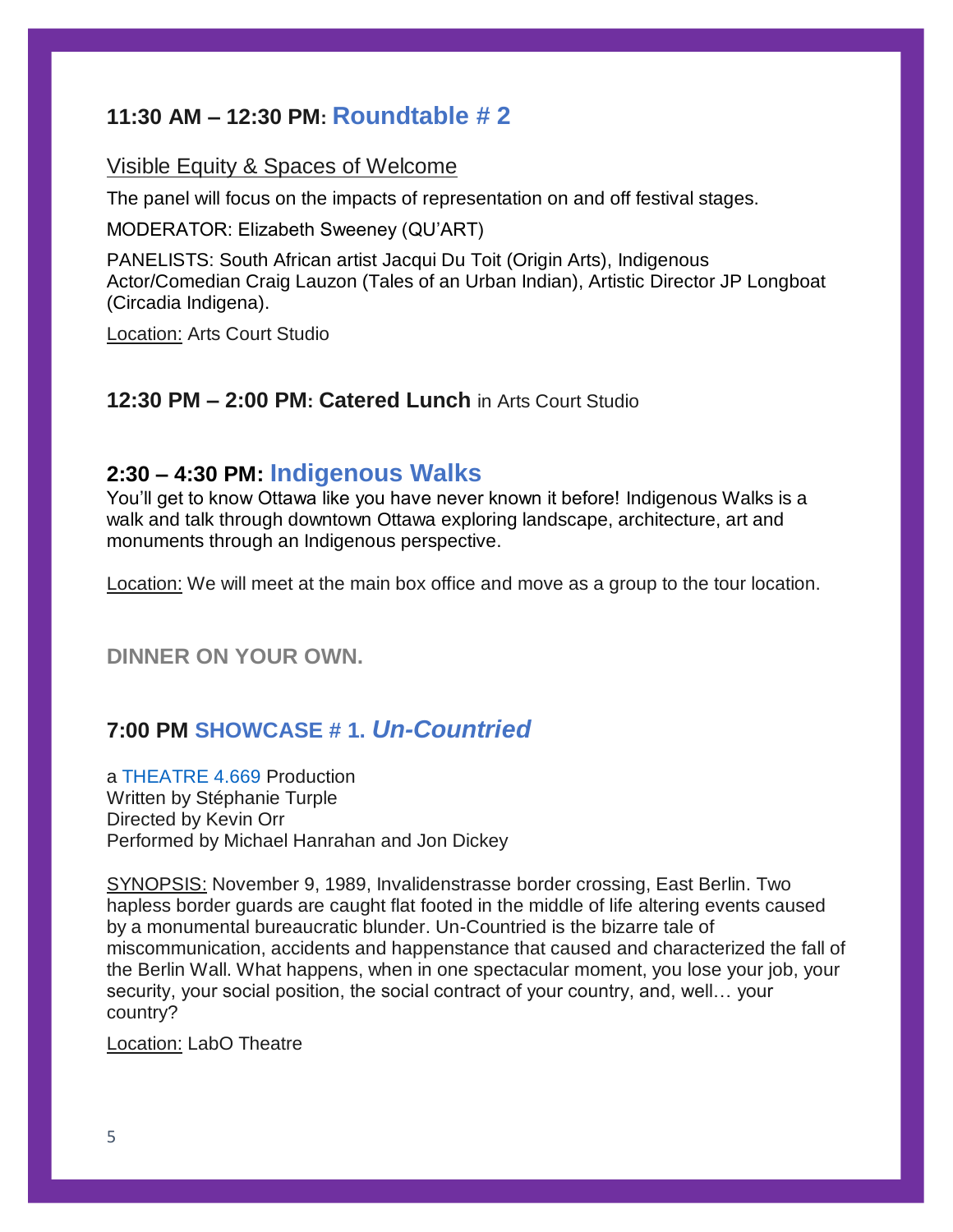#### **11:30 AM – 12:30 PM: Roundtable # 2**

#### Visible Equity & Spaces of Welcome

The panel will focus on the impacts of representation on and off festival stages.

MODERATOR: Elizabeth Sweeney (QU'ART)

PANELISTS: South African artist Jacqui Du Toit (Origin Arts), Indigenous Actor/Comedian Craig Lauzon (Tales of an Urban Indian), Artistic Director JP Longboat (Circadia Indigena).

Location: Arts Court Studio

#### **12:30 PM – 2:00 PM: Catered Lunch** in Arts Court Studio

#### **2:30 – 4:30 PM: [Indigenous Walks](http://indigenouswalks.com/)**

You'll get to know Ottawa like you have never known it before! Indigenous Walks is a walk and talk through downtown Ottawa exploring landscape, architecture, art and monuments through an Indigenous perspective.

Location: We will meet at the main box office and move as a group to the tour location.

**DINNER ON YOUR OWN.**

#### **7:00 PM SHOWCASE # 1.** *[Un-Countried](http://undercurrentsfestival.ca/uncountried-showcase/)*

a [THEATRE 4.669](http://www.theatre4pt669.com/) Production Written by Stéphanie Turple Directed by Kevin Orr Performed by Michael Hanrahan and Jon Dickey

SYNOPSIS: November 9, 1989, Invalidenstrasse border crossing, East Berlin. Two hapless border guards are caught flat footed in the middle of life altering events caused by a monumental bureaucratic blunder. Un-Countried is the bizarre tale of miscommunication, accidents and happenstance that caused and characterized the fall of the Berlin Wall. What happens, when in one spectacular moment, you lose your job, your security, your social position, the social contract of your country, and, well… your country?

Location: LabO Theatre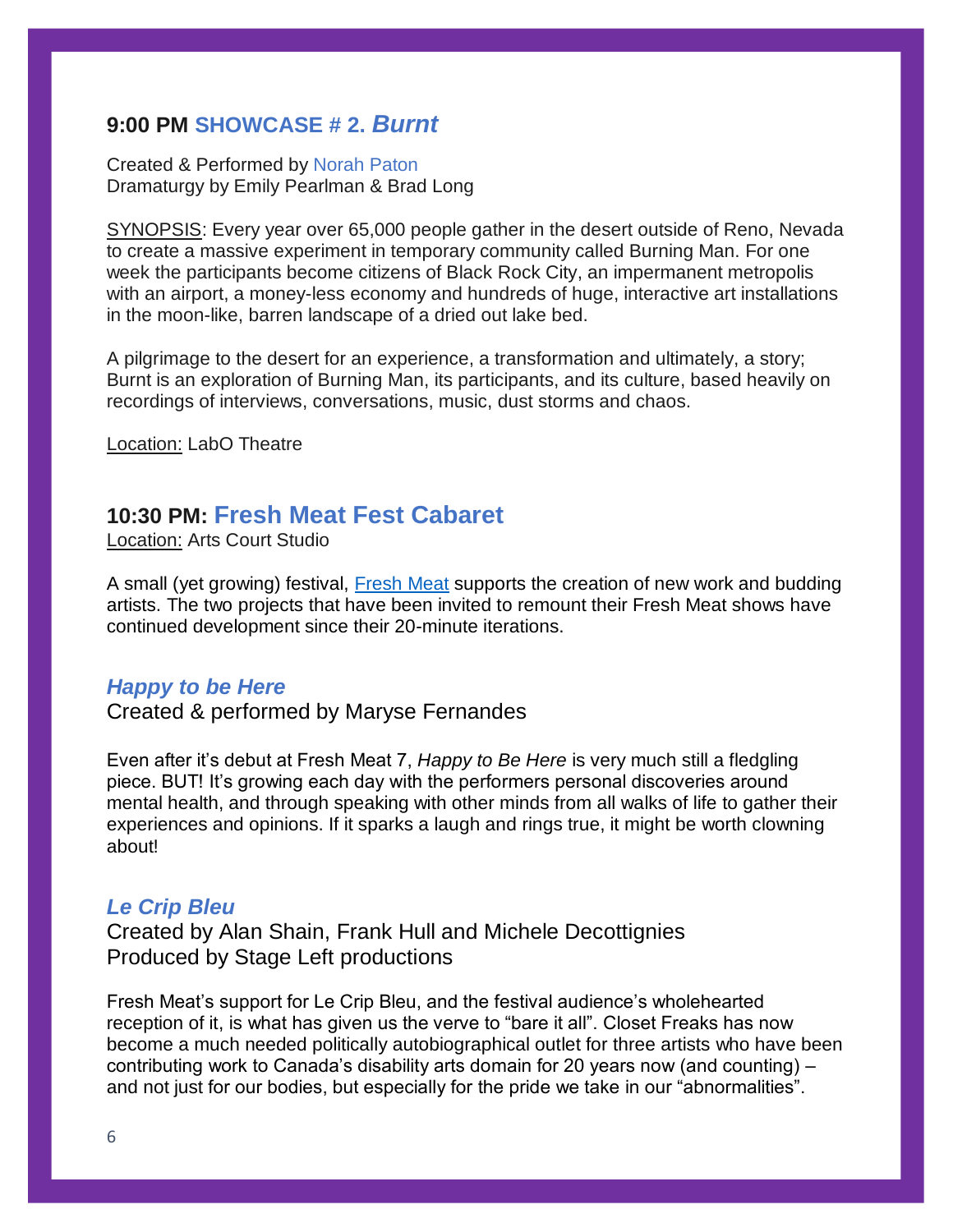#### **9:00 PM [SHOWCASE # 2.](http://undercurrentsfestival.ca/burnt/)** *Burnt*

#### Created & Performed by [Norah Paton](http://www.norahpaton.com/) Dramaturgy by Emily Pearlman & Brad Long

SYNOPSIS: Every year over 65,000 people gather in the desert outside of Reno, Nevada to create a massive experiment in temporary community called Burning Man. For one week the participants become citizens of Black Rock City, an impermanent metropolis with an airport, a money-less economy and hundreds of huge, interactive art installations in the moon-like, barren landscape of a dried out lake bed.

A pilgrimage to the desert for an experience, a transformation and ultimately, a story; Burnt is an exploration of Burning Man, its participants, and its culture, based heavily on recordings of interviews, conversations, music, dust storms and chaos.

Location: LabO Theatre

#### **10:30 PM: [Fresh Meat Fest Cabaret](http://undercurrentsfestival.ca/blog/2019/01/30/fresh-meat-cabaret-development-industry-showcase/)**

Location: Arts Court Studio

A small (yet growing) festival, [Fresh Meat](http://www.freshmeatfest.com/) supports the creation of new work and budding artists. The two projects that have been invited to remount their Fresh Meat shows have continued development since their 20-minute iterations.

#### *Happy to be Here*

Created & performed by Maryse Fernandes

Even after it's debut at Fresh Meat 7, *Happy to Be Here* is very much still a fledgling piece. BUT! It's growing each day with the performers personal discoveries around mental health, and through speaking with other minds from all walks of life to gather their experiences and opinions. If it sparks a laugh and rings true, it might be worth clowning about!

#### *Le Crip Bleu*

Created by Alan Shain, Frank Hull and Michele Decottignies Produced by Stage Left productions

Fresh Meat's support for Le Crip Bleu, and the festival audience's wholehearted reception of it, is what has given us the verve to "bare it all". Closet Freaks has now become a much needed politically autobiographical outlet for three artists who have been contributing work to Canada's disability arts domain for 20 years now (and counting) – and not just for our bodies, but especially for the pride we take in our "abnormalities".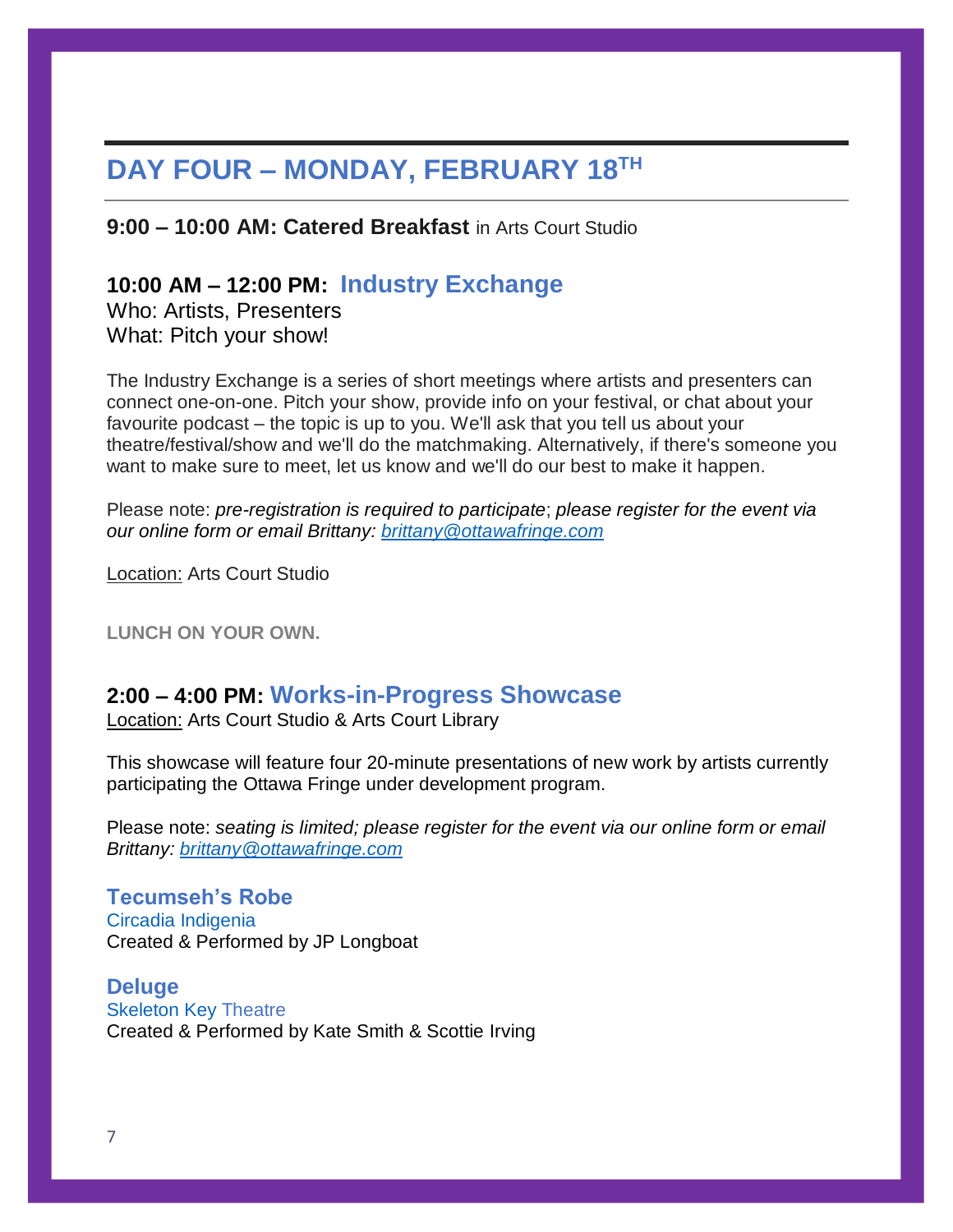# **DAY FOUR – MONDAY, FEBRUARY 18 TH**

**9:00 – 10:00 AM: Catered Breakfast** in Arts Court Studio

#### **10:00 AM – 12:00 PM: Industry Exchange**

Who: Artists, Presenters What: Pitch your show!

The Industry Exchange is a series of short meetings where artists and presenters can connect one-on-one. Pitch your show, provide info on your festival, or chat about your favourite podcast – the topic is up to you. We'll ask that you tell us about your theatre/festival/show and we'll do the matchmaking. Alternatively, if there's someone you want to make sure to meet, let us know and we'll do our best to make it happen.

Please note: *pre-registration is required to participate*; *please register for the event via our online form or email Brittany: [brittany@ottawafringe.com](mailto:brittany@ottawafringe.com)*

Location: Arts Court Studio

**LUNCH ON YOUR OWN.**

#### **2:00 – 4:00 PM: Works-in-Progress Showcase**

Location: Arts Court Studio & Arts Court Library

This showcase will feature four 20-minute presentations of new work by artists currently participating the Ottawa Fringe under development program.

Please note: *seating is limited; please register for the event via our online form or email Brittany: [brittany@ottawafringe.com](mailto:brittany@ottawafringe.com)*

**Tecumseh's Robe** [Circadia Indigenia](https://circadiaindigena.com/) Created & Performed by JP Longboat

**Deluge** [Skeleton Key](https://www.skeletonkeytheatre.com/) Theatre Created & Performed by Kate Smith & Scottie Irving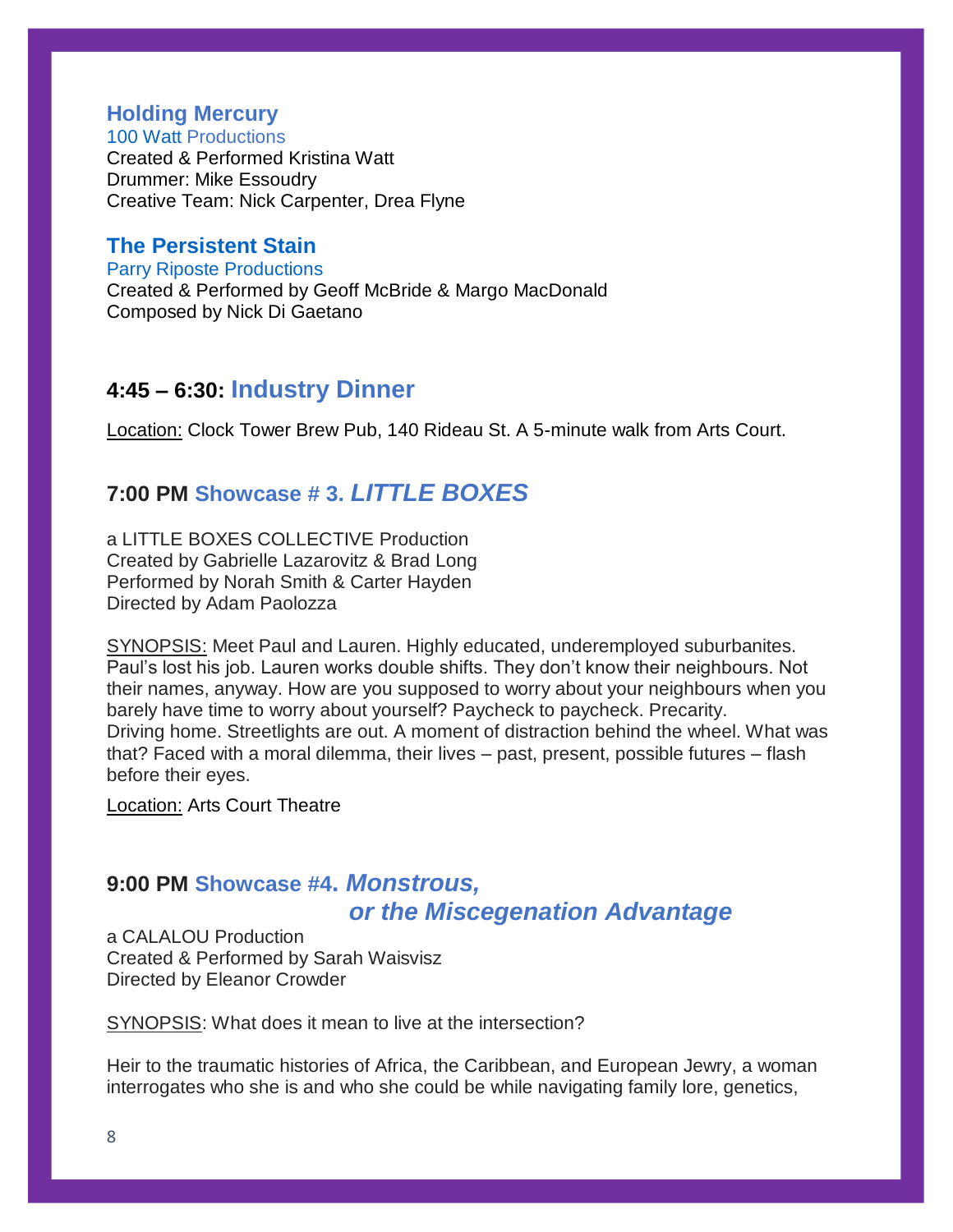#### **Holding Mercury**

100 [Watt](https://www.100watt.org/holding-mercury) Productions Created & Performed Kristina Watt Drummer: Mike Essoudry Creative Team: Nick Carpenter, Drea Flyne

#### **[The Persistent](http://undercurrentsfestival.ca/shows/the-persistent-stain/) Stain**

[Parry Riposte Productions](http://parryriposte.ca/) Created & Performed by Geoff McBride & Margo MacDonald Composed by Nick Di Gaetano

#### **4:45 – 6:30: Industry Dinner**

Location: Clock Tower Brew Pub, 140 Rideau St. A 5-minute walk from Arts Court.

#### **7:00 PM Showcase # 3.** *[LITTLE BOXES](http://undercurrentsfestival.ca/little-boxes-showcase/)*

a LITTLE BOXES COLLECTIVE Production Created by Gabrielle Lazarovitz & Brad Long Performed by Norah Smith & Carter Hayden Directed by Adam Paolozza

SYNOPSIS: Meet Paul and Lauren. Highly educated, underemployed suburbanites. Paul's lost his job. Lauren works double shifts. They don't know their neighbours. Not their names, anyway. How are you supposed to worry about your neighbours when you barely have time to worry about yourself? Paycheck to paycheck. Precarity. Driving home. Streetlights are out. A moment of distraction behind the wheel. What was that? Faced with a moral dilemma, their lives – past, present, possible futures – flash before their eyes.

Location: Arts Court Theatre

#### **9:00 PM Showcase #4.** *[Monstrous,](http://undercurrentsfestival.ca/monstrous-miscegenation-advantage/)   [or the](http://undercurrentsfestival.ca/monstrous-miscegenation-advantage/) Miscegenation Advantage*

a CALALOU Production Created & Performed by Sarah Waisvisz Directed by Eleanor Crowder

SYNOPSIS: What does it mean to live at the intersection?

Heir to the traumatic histories of Africa, the Caribbean, and European Jewry, a woman interrogates who she is and who she could be while navigating family lore, genetics,